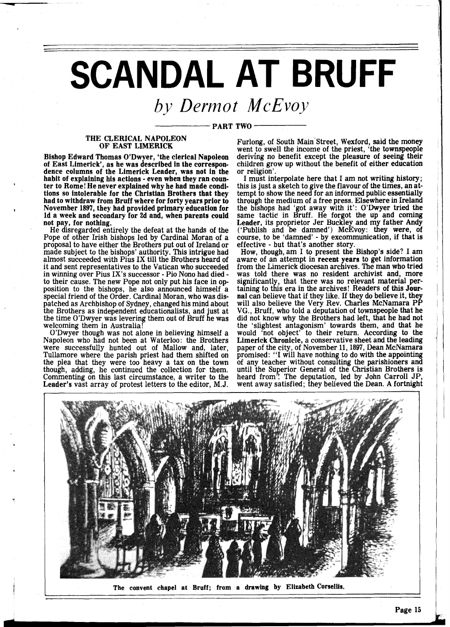## **SCANDAL AT BRUFF**

## *by Derrnot McEvoy*

## PART TWO

## THE CLERICAL NAPOLEON OF EAST LIMERICK

Bishop Edward Thomas O'Dwyer, 'the clerical Napoleon of East Limerick', as he was described in the correspon- dence columns of the Limerick Leader, was not in the habit of explaining his actions - even when they ran coun ter to Rome! He never explained why he had made conditions so intolerable for the Christian Brothers that they had to withdraw from Bruff where for forty years prior to **I** November 1897, they had provided primary education for Id a week and secondary for 2d and, when parents could not pay, for nothing.

He disregarded entirely the defeat at the hands of the Pope of other Irish bishops led by Cardinal Moran of a proposal to have either the Brothers put out of Ireland or made subject to the bishops' authority. This intrigue had almost succeeded with Pius IX till the Brothers heard of it and sent representatives to the Vatican who succeeded in winning over Pius IX's successor - Pio Nono had died - to their cause. The new Pope not only put his face in opto their cause. The new Pope not only put his face in op- position to the bishops, he also announced himself a special friend of the Order. Cardinal Moran, who was dispatched as Archbishop of Sydney, changed his mind about the Brothers as independent educationalists, and just at the time O'Dwyer was levering them out of Bruff he was welcoming them in Australia!

O'Dwyer though was not alone in believing himself a Napoleon who had not been at Waterloo: the Brothers were successfully hunted out of Mallow and, later, Tullamore where the parish priest had them shifted on the plea that they were too heavy a tax on the town though, adding, he continued the collection for them. Commenting on this last circumstance, a writer to the Leader's vast array of protest letters to the editor, M.J.

Furlong, of South Main-Street, Wexford, said the money went to swell the income of the priest, 'the townspeople deriving no benefit except the pleasure of seeing their children grow up without the benefit of either education or religion'.

I must interpolate here that I am not writing history; this is just a sketch to give the flavour of the times, an attempt to show the need for an informed public essentially through the medium of a free press. Elsewhere in Ireland the bishops had 'got away with it': O'Dwyer tried the<br>same tactic in Bruff. He forgot the up and coming same tactic in Bruff. He forgot the up and coming Leader, its proprietor Jer Buckley and my father Andy ('Publish and be damned') McEvoy: they were, of course, to be 'damned' - by excommunication, if that is

effective - but that's another story. How, though, am I to present the Bishop's side? I am aware of an attempt in recent years to get information from the Limerick diocesan archives. The man who tried was told there was no resident archivist and, more significantly, that there was no relevant material per-<br>taining to this era in the archives! Readers of this Journal can believe that if they like. If they do believe it, they will also believe the Very Rev. Charles McNamara PP VG., Bruff, who told a deputation of townspeople that he did not know why the Brothers had left, that he had not the 'slightest antagonism' towards them, and that he would 'not object' to their return. According to the Limerick Chronicle, a conservative sheet and the leading paper of the city, of November 11,1897, Dean McNamara promised: **"I** will have nothing to do with the appointing of any teacher without consulting the parishioners and until the Superior General of the Christian Brothers is heard from'! The deputation, led by John Carroll JP, went away satisfied; they believed the Dean. A fortnight



**The convent chapel at Bruff; from a drawing by Elizabeth Corsellis,**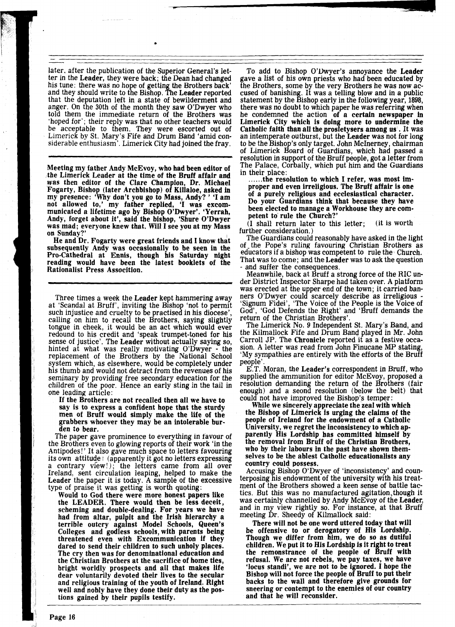later, after the publication of the Superior General's letter in the Leader, they were back; the Dean had changed his tune: there was no hope of getting the Brothers back' and they should write to the Bishop. The Leader reported that the deputation left in a state of bewilderment and anger. On the 30th of the month they saw O'Dwyer who told them the immediate return of the Brothers was 'hoped for'; their reply was that no other teachers would be acceptable to them. They were escorted out of Limerick by St. Mary's Fife and Drum Band 'amid considerable enthusiasm'. Limerick City had joined the fray.

Meeting my father Andy McEvoy, who had been editor of the Limerick Leader at the time of the Bruff affair and was then editor of the Clare Champion, Dr. Michael Fogarty, Bishop (later Archbishop) of Killaloe, asked in my presence: 'Why don't you go to Mass, Andy? ' 'I am not allowed to,' my father replied, 'I was excommunicated a lifetime ago by Bishop O'Dwyer'. 'Yerrah, Andy, forget about it', said the bishop, 'Shure O'Dwyer was mad; everyone knew that. Will I see you at my Mass on Sunday

He and Dr. Fogarty were great friends and I know that subsequently Andy was occasionally to be seen in the Pro-Cathedral at Ennis, though his Saturday night reading would have been the latest booklets of the Rationalist Press Assocition.

Three times a week the Leader kept hammering away at 'Scandal at Bruff', inviting the Bishop 'not to permit such injustice and cruelty to be practised in his diocese'. calling on him to recall the Brothers, saying slightly tongue in cheek, it would be an act which would ever redound to his credit and 'speak trumpet-toned for his sense of justice'. The Leader without actually saying so, hinted at what was really motivating O'Dwyer - the replacement of the Brothers by the National School system which, as elsewhere, would be completely under his thumb and would not detract from the revenues of his seminary by providing free secondary education for the children of the poor. Hence an early sting in the tail in one leading article:

If the Brothers are not recalled then all we have to say is to express a confident hope that the sturdy men of Bruff would simply make the life of the grabbers whoever they may be an intolerable burden to bear.

The paper gave prominence to everything in favour of the Brothers even to glowing reports of their work 'in the Antipodes!' It also gave much space to letters favouring its own attitude : (apparently it got no letters expressing a contrary view!); the letters came from all over Ireland, sent circulation leaping, helped to make the Leader the paper it is today. A sample of the excessive type of praise it was getting is worth quoting:

Would to God there were more honest papers like the LEADER. There would then be less deceit, scheming and double-dealing. For years we have had from altar, pulpit and the Irish hierarchy a terrible outcry against Model Schools, Queen's Colleges and godless schools, with parents being threatened even with Excommunication if they dared to send their children to such unholy places. The cry then was for denominational education and the Christian Brothers at the sacrifice of home ties, bright worldly prospects and all that makes life dear voluntarily devoted their lives to the secular and religious training of the youth of Ireland. Right well and nobly have they done their duty as the postions gained by their pupils testify.

To add to Bishop O'Dwyer's annoyance the Leader<br>gave a list of his own priests who had been educated by the Brothers, some by the very Brothers he was now accused of banishing. It was a telling blow and in a public statement by the Bishop early in the following year, 1898, there was no doubt to which paper he was referring when he condemned the action of a certain newspaper in Limerick City which is doing more to undermine the Catholic faith than all the prosletysers among us . It was an intemperate outburst, but the Leader was not for long to be the Bishop's only target. John McInerney, chairman of Limerick Board of Guardians, which had passed a resolution in support of the Bruff people, got a letter from The Palace, Corbally, which put him and the Guardians in their place:

...... the resolution to which I refer, was most improper and even irreligious. The Bruff affair is one of a purely religious and ecclesiastical character. Do your Guardians think that because they have been elected to manage a Workhouse they are competent to rule the Church?'

(I shall return later to this letter; (it 1s worth

further consideration.)<br>The Guardians could reasonably have asked in the light of the Pope's ruling favouring Christian Brothers as educators if a bishop was competent to rule the) Church. That was to come; and the Leader was to ask the question - and suffer the consequences.

Meanwhile, back at Bruff a strong force of the RIC under District Inspector Sharpe had taken over. A platform was erected at the upper end of the town; it carried banners O'Dwyer could scarcely describe as irreligious - 'Signum Fidei', 'The Voice of the People is the Voice of God', 'God Defends the Right' and 'Bruff demands the return of the Christian Brothers'.

The Limerick No. 9 Independent St. Mary's Band, and the Kilmallock Fife and Drum Band played in Mr. John Carroll JP. The Chronicle reported it as a festive occa-<br>sion. A letter was read from John Finucane MP stating. 'My sympathies are entirely with the efforts of the Bruff people'.

E.T. Moran, the Leader's correspondent in Bruff, who supplied the ammunition for editor McEvoy, proposed a resolution demanding the return of the Brothers (fair enough) and a seond resolution (below the belt) that could not have improved the Bishop's temper: While we sincerely appreciate the zeal with which

the Bishop of Limerick is urging the claims of the people of Ireland for the endowment of a Catholic University, we regret the inconsistency to which apparently His Lordship has committed himself by the removal from Bruff of the Christian Brothers, who by their labours in the past have shown themselves to be the ablest Catholic educationalists any country could possess.

Accusing Bishop O'Dwyer of 'inconsistency' and counterposing his endowment of the university with his treatment of the Brothers showed a keen sense of battle tactics. But this was no manufactured agitation, though it was certainly channelled by Andy McEvoy of the Leader, and in my view rightly so. For instance, at that Bruff meeting Dr. Sheedy of Kilmallock said:

There will not be one word uttered today that will be offensive to or derogatory of His Lordship. Though we differ from him, we do so as dutiful children. We put it to His Lordship is it right to treat the remonstrance of the people of Bruff with refusal. We are not rebels, we pay taxes, we have 'locus standi', we are not to be ignored. I hope the Bishop will not force the people of Bruff to put their backs to the wall and therefore give grounds for sneering or contempt to the enemies of our country and that he will reconsider.